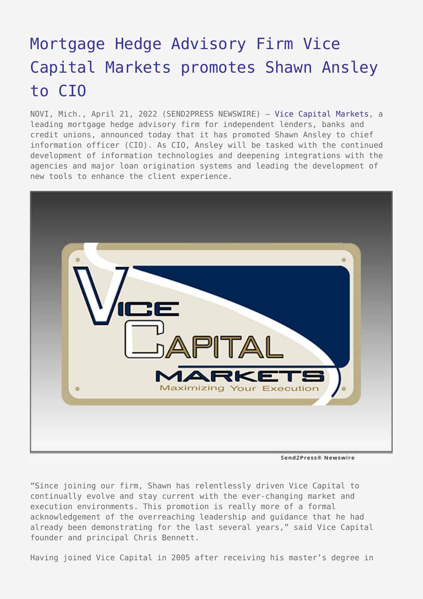## [Mortgage Hedge Advisory Firm Vice](https://www.send2press.com/wire/mortgage-hedge-advisory-firm-vice-capital-markets-promotes-shawn-ansley-to-cio/) [Capital Markets promotes Shawn Ansley](https://www.send2press.com/wire/mortgage-hedge-advisory-firm-vice-capital-markets-promotes-shawn-ansley-to-cio/) [to CIO](https://www.send2press.com/wire/mortgage-hedge-advisory-firm-vice-capital-markets-promotes-shawn-ansley-to-cio/)

NOVI, Mich., April 21, 2022 (SEND2PRESS NEWSWIRE) — [Vice Capital Markets](https://www.vicecapitalmarkets.com/), a leading mortgage hedge advisory firm for independent lenders, banks and credit unions, announced today that it has promoted Shawn Ansley to chief information officer (CIO). As CIO, Ansley will be tasked with the continued development of information technologies and deepening integrations with the agencies and major loan origination systems and leading the development of new tools to enhance the client experience.



Send2Press® Newswire

"Since joining our firm, Shawn has relentlessly driven Vice Capital to continually evolve and stay current with the ever-changing market and execution environments. This promotion is really more of a formal acknowledgement of the overreaching leadership and guidance that he had already been demonstrating for the last several years," said Vice Capital founder and principal Chris Bennett.

Having joined Vice Capital in 2005 after receiving his master's degree in